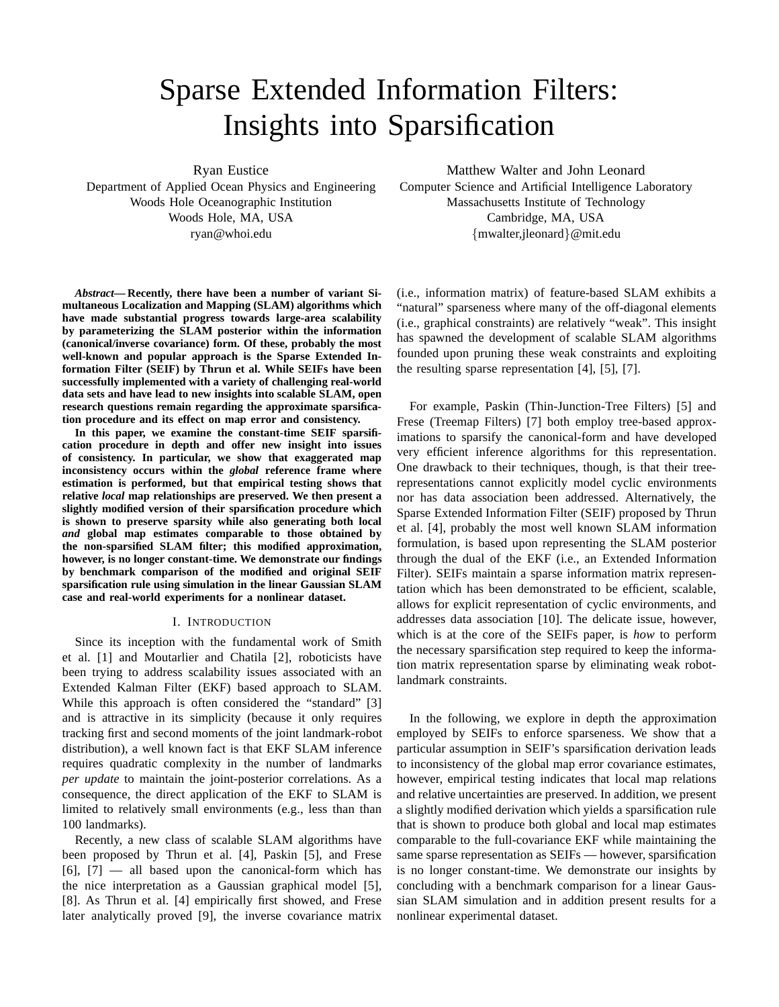# Sparse Extended Information Filters: Insights into Sparsification

Ryan Eustice

Department of Applied Ocean Physics and Engineering Woods Hole Oceanographic Institution Woods Hole, MA, USA ryan@whoi.edu

*Abstract***— Recently, there have been a number of variant Simultaneous Localization and Mapping (SLAM) algorithms which have made substantial progress towards large-area scalability by parameterizing the SLAM posterior within the information (canonical/inverse covariance) form. Of these, probably the most well-known and popular approach is the Sparse Extended Information Filter (SEIF) by Thrun et al. While SEIFs have been successfully implemented with a variety of challenging real-world data sets and have lead to new insights into scalable SLAM, open research questions remain regarding the approximate sparsification procedure and its effect on map error and consistency.**

**In this paper, we examine the constant-time SEIF sparsification procedure in depth and offer new insight into issues of consistency. In particular, we show that exaggerated map inconsistency occurs within the** *global* **reference frame where estimation is performed, but that empirical testing shows that relative** *local* **map relationships are preserved. We then present a slightly modified version of their sparsification procedure which is shown to preserve sparsity while also generating both local** *and* **global map estimates comparable to those obtained by the non-sparsified SLAM filter; this modified approximation, however, is no longer constant-time. We demonstrate our findings by benchmark comparison of the modified and original SEIF sparsification rule using simulation in the linear Gaussian SLAM case and real-world experiments for a nonlinear dataset.**

## I. INTRODUCTION

Since its inception with the fundamental work of Smith et al. [1] and Moutarlier and Chatila [2], roboticists have been trying to address scalability issues associated with an Extended Kalman Filter (EKF) based approach to SLAM. While this approach is often considered the "standard" [3] and is attractive in its simplicity (because it only requires tracking first and second moments of the joint landmark-robot distribution), a well known fact is that EKF SLAM inference requires quadratic complexity in the number of landmarks *per update* to maintain the joint-posterior correlations. As a consequence, the direct application of the EKF to SLAM is limited to relatively small environments (e.g., less than than 100 landmarks).

Recently, a new class of scalable SLAM algorithms have been proposed by Thrun et al. [4], Paskin [5], and Frese  $[6]$ ,  $[7]$  — all based upon the canonical-form which has the nice interpretation as a Gaussian graphical model [5], [8]. As Thrun et al. [4] empirically first showed, and Frese later analytically proved [9], the inverse covariance matrix

Matthew Walter and John Leonard Computer Science and Artificial Intelligence Laboratory Massachusetts Institute of Technology Cambridge, MA, USA {mwalter,jleonard}@mit.edu

(i.e., information matrix) of feature-based SLAM exhibits a "natural" sparseness where many of the off-diagonal elements (i.e., graphical constraints) are relatively "weak". This insight has spawned the development of scalable SLAM algorithms founded upon pruning these weak constraints and exploiting the resulting sparse representation [4], [5], [7].

For example, Paskin (Thin-Junction-Tree Filters) [5] and Frese (Treemap Filters) [7] both employ tree-based approximations to sparsify the canonical-form and have developed very efficient inference algorithms for this representation. One drawback to their techniques, though, is that their treerepresentations cannot explicitly model cyclic environments nor has data association been addressed. Alternatively, the Sparse Extended Information Filter (SEIF) proposed by Thrun et al. [4], probably the most well known SLAM information formulation, is based upon representing the SLAM posterior through the dual of the EKF (i.e., an Extended Information Filter). SEIFs maintain a sparse information matrix representation which has been demonstrated to be efficient, scalable, allows for explicit representation of cyclic environments, and addresses data association [10]. The delicate issue, however, which is at the core of the SEIFs paper, is *how* to perform the necessary sparsification step required to keep the information matrix representation sparse by eliminating weak robotlandmark constraints.

In the following, we explore in depth the approximation employed by SEIFs to enforce sparseness. We show that a particular assumption in SEIF's sparsification derivation leads to inconsistency of the global map error covariance estimates, however, empirical testing indicates that local map relations and relative uncertainties are preserved. In addition, we present a slightly modified derivation which yields a sparsification rule that is shown to produce both global and local map estimates comparable to the full-covariance EKF while maintaining the same sparse representation as SEIFs — however, sparsification is no longer constant-time. We demonstrate our insights by concluding with a benchmark comparison for a linear Gaussian SLAM simulation and in addition present results for a nonlinear experimental dataset.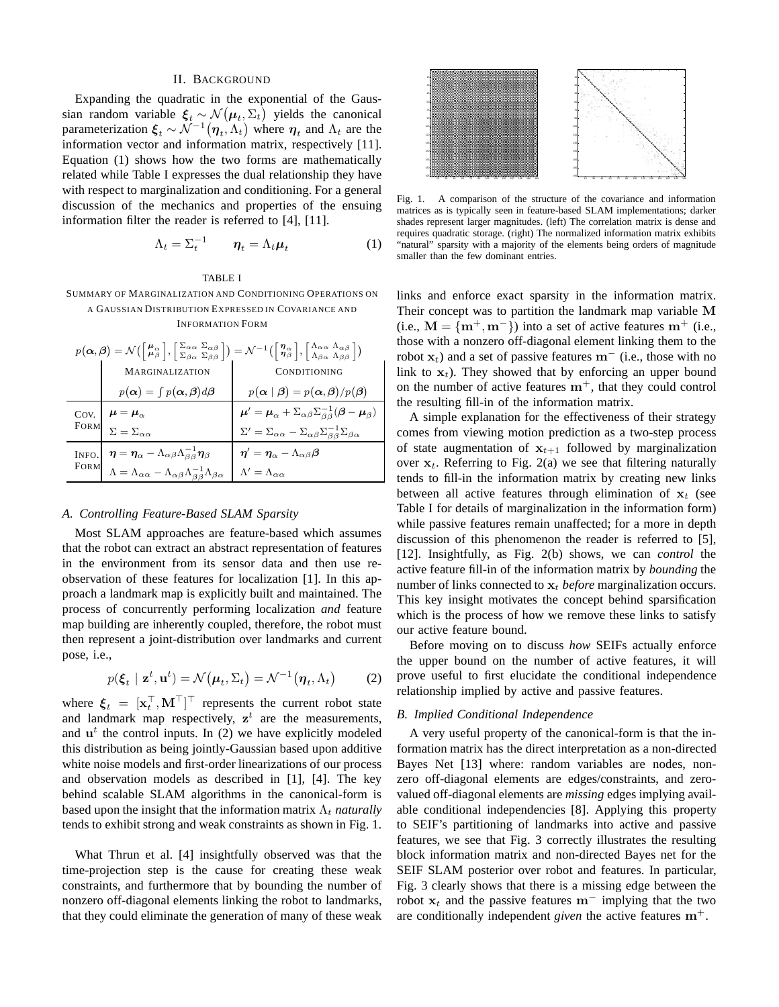#### II. BACKGROUND

Expanding the quadratic in the exponential of the Gaussian random variable  $\xi_t \sim \mathcal{N}(\mu_t, \Sigma_t)$  yields the canonical parameterization  $\xi_t \sim \mathcal{N}^{-1}(\eta_t, \Lambda_t)$  where  $\eta_t$  and  $\Lambda_t$  are the information vector and information matrix, respectively [11]. Equation (1) shows how the two forms are mathematically related while Table I expresses the dual relationship they have with respect to marginalization and conditioning. For a general discussion of the mechanics and properties of the ensuing information filter the reader is referred to [4], [11].

$$
\Lambda_t = \Sigma_t^{-1} \qquad \eta_t = \Lambda_t \mu_t \tag{1}
$$

## TABLE I

SUMMARY OF MARGINALIZATION AND CONDITIONING OPERATIONS ON A GAUSSIAN DISTRIBUTION EXPRESSED IN COVARIANCE AND

INFORMATION FORM

| $p(\boldsymbol{\alpha},\boldsymbol{\beta})=\mathcal{N}\left(\left[\begin{matrix} \boldsymbol{\mu}_{\alpha} \\ \boldsymbol{\mu}_{\beta} \end{matrix}\right],\left[\begin{matrix} \Sigma_{\alpha\alpha} & \Sigma_{\alpha\beta} \\ \Sigma_{\beta\alpha} & \Sigma_{\beta\beta} \end{matrix}\right]\right)=\mathcal{N}^{-1}\left(\left[\begin{matrix} \boldsymbol{\eta}_{\alpha} \\ \boldsymbol{\eta}_{\beta} \end{matrix}\right],\left[\begin{matrix} \Lambda_{\alpha\alpha} & \Lambda_{\alpha\beta} \\ \Lambda_{\beta\alpha} & \Lambda_{\beta\beta} \end{matrix}\right]\right)$ |                                                                                                                                                                                                                                                                                                   |                                                                                                                     |
|------------------------------------------------------------------------------------------------------------------------------------------------------------------------------------------------------------------------------------------------------------------------------------------------------------------------------------------------------------------------------------------------------------------------------------------------------------------------------------------------------------------------------------------------------------------------------|---------------------------------------------------------------------------------------------------------------------------------------------------------------------------------------------------------------------------------------------------------------------------------------------------|---------------------------------------------------------------------------------------------------------------------|
|                                                                                                                                                                                                                                                                                                                                                                                                                                                                                                                                                                              | <b>MARGINALIZATION</b>                                                                                                                                                                                                                                                                            | CONDITIONING                                                                                                        |
|                                                                                                                                                                                                                                                                                                                                                                                                                                                                                                                                                                              | $p(\boldsymbol{\alpha}) = \int p(\boldsymbol{\alpha}, \boldsymbol{\beta}) d\boldsymbol{\beta}$                                                                                                                                                                                                    | $p(\boldsymbol{\alpha} \mid \boldsymbol{\beta}) = p(\boldsymbol{\alpha}, \boldsymbol{\beta})/p(\boldsymbol{\beta})$ |
| Cov.<br>FORM                                                                                                                                                                                                                                                                                                                                                                                                                                                                                                                                                                 |                                                                                                                                                                                                                                                                                                   | $\mu' = \mu_{\alpha} + \Sigma_{\alpha\beta}\Sigma_{\beta\beta}^{-1}(\boldsymbol{\beta} - \mu_{\beta})$              |
|                                                                                                                                                                                                                                                                                                                                                                                                                                                                                                                                                                              | $\mu = \mu_{\alpha}$ $\Sigma = \Sigma_{\alpha\alpha}$                                                                                                                                                                                                                                             | $\Sigma' = \Sigma_{\alpha\alpha} - \Sigma_{\alpha\beta}\Sigma_{\beta\beta}^{-1}\Sigma_{\beta\alpha}$                |
|                                                                                                                                                                                                                                                                                                                                                                                                                                                                                                                                                                              |                                                                                                                                                                                                                                                                                                   | $\eta' = \eta_{\alpha} - \Lambda_{\alpha\beta}\beta$                                                                |
|                                                                                                                                                                                                                                                                                                                                                                                                                                                                                                                                                                              | $\begin{array}{ll}\n\text{INFO.} & \boldsymbol{\eta} = \boldsymbol{\eta}_{\alpha} - \Lambda_{\alpha\beta}\Lambda_{\beta\beta}^{-1}\boldsymbol{\eta}_{\beta} \\ \text{FORM} & \Lambda = \Lambda_{\alpha\alpha} - \Lambda_{\alpha\beta}\Lambda_{\beta\beta}^{-1}\Lambda_{\beta\alpha}\n\end{array}$ | $\Lambda' = \Lambda_{\alpha\alpha}$                                                                                 |

#### *A. Controlling Feature-Based SLAM Sparsity*

Most SLAM approaches are feature-based which assumes that the robot can extract an abstract representation of features in the environment from its sensor data and then use reobservation of these features for localization [1]. In this approach a landmark map is explicitly built and maintained. The process of concurrently performing localization *and* feature map building are inherently coupled, therefore, the robot must then represent a joint-distribution over landmarks and current pose, i.e.,

$$
p(\boldsymbol{\xi}_t \mid \mathbf{z}^t, \mathbf{u}^t) = \mathcal{N}(\boldsymbol{\mu}_t, \boldsymbol{\Sigma}_t) = \mathcal{N}^{-1}(\boldsymbol{\eta}_t, \boldsymbol{\Lambda}_t)
$$
(2)

where  $\boldsymbol{\xi}_t = [\mathbf{x}_t^\top, \mathbf{M}^\top]^\top$  represents the current robot state and landmark map respectively,  $z^t$  are the measurements, and  $\mathbf{u}^t$  the control inputs. In (2) we have explicitly modeled this distribution as being jointly-Gaussian based upon additive white noise models and first-order linearizations of our process and observation models as described in [1], [4]. The key behind scalable SLAM algorithms in the canonical-form is based upon the insight that the information matrix  $\Lambda_t$  *naturally* tends to exhibit strong and weak constraints as shown in Fig. 1.

What Thrun et al. [4] insightfully observed was that the time-projection step is the cause for creating these weak constraints, and furthermore that by bounding the number of nonzero off-diagonal elements linking the robot to landmarks, that they could eliminate the generation of many of these weak



Fig. 1. A comparison of the structure of the covariance and information matrices as is typically seen in feature-based SLAM implementations; darker shades represent larger magnitudes. (left) The correlation matrix is dense and requires quadratic storage. (right) The normalized information matrix exhibits "natural" sparsity with a majority of the elements being orders of magnitude smaller than the few dominant entries.

links and enforce exact sparsity in the information matrix. Their concept was to partition the landmark map variable M (i.e.,  $M = \{m^+, m^-\}\)$  into a set of active features  $m^+$  (i.e., those with a nonzero off-diagonal element linking them to the robot  $x_t$ ) and a set of passive features  $m^-$  (i.e., those with no link to  $x_t$ ). They showed that by enforcing an upper bound on the number of active features  $m^+$ , that they could control the resulting fill-in of the information matrix.

A simple explanation for the effectiveness of their strategy comes from viewing motion prediction as a two-step process of state augmentation of  $x_{t+1}$  followed by marginalization over  $x_t$ . Referring to Fig. 2(a) we see that filtering naturally tends to fill-in the information matrix by creating new links between all active features through elimination of  $x_t$  (see Table I for details of marginalization in the information form) while passive features remain unaffected; for a more in depth discussion of this phenomenon the reader is referred to [5], [12]. Insightfully, as Fig. 2(b) shows, we can *control* the active feature fill-in of the information matrix by *bounding* the number of links connected to  $x_t$  *before* marginalization occurs. This key insight motivates the concept behind sparsification which is the process of how we remove these links to satisfy our active feature bound.

Before moving on to discuss *how* SEIFs actually enforce the upper bound on the number of active features, it will prove useful to first elucidate the conditional independence relationship implied by active and passive features.

### *B. Implied Conditional Independence*

A very useful property of the canonical-form is that the information matrix has the direct interpretation as a non-directed Bayes Net [13] where: random variables are nodes, nonzero off-diagonal elements are edges/constraints, and zerovalued off-diagonal elements are *missing* edges implying available conditional independencies [8]. Applying this property to SEIF's partitioning of landmarks into active and passive features, we see that Fig. 3 correctly illustrates the resulting block information matrix and non-directed Bayes net for the SEIF SLAM posterior over robot and features. In particular, Fig. 3 clearly shows that there is a missing edge between the robot  $x_t$  and the passive features m<sup>-</sup> implying that the two are conditionally independent *given* the active features  $m^+$ .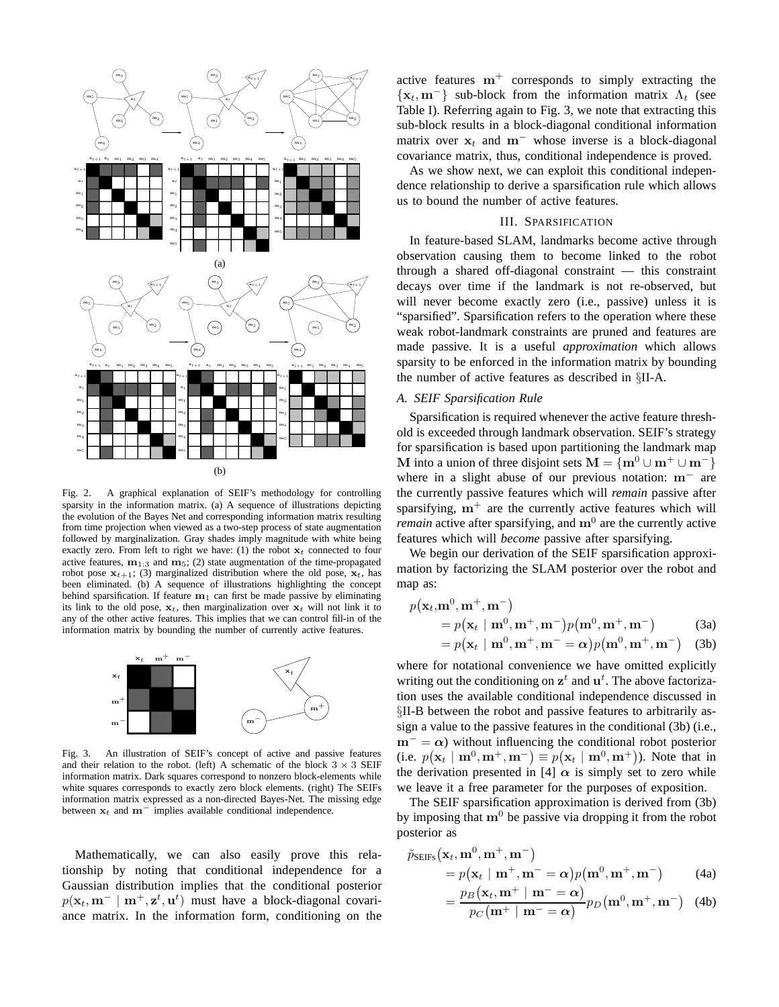

Fig. 2. A graphical explanation of SEIF's methodology for controlling sparsity in the information matrix. (a) A sequence of illustrations depicting the evolution of the Bayes Net and corresponding information matrix resulting from time projection when viewed as a two-step process of state augmentation followed by marginalization. Gray shades imply magnitude with white being exactly zero. From left to right we have: (1) the robot  $x_t$  connected to four active features,  $m_{1:3}$  and  $m_5$ ; (2) state augmentation of the time-propagated robot pose  $x_{t+1}$ ; (3) marginalized distribution where the old pose,  $x_t$ , has been eliminated. (b) A sequence of illustrations highlighting the concept behind sparsification. If feature  $m_1$  can first be made passive by eliminating its link to the old pose,  $x_t$ , then marginalization over  $x_t$  will not link it to any of the other active features. This implies that we can control fill-in of the information matrix by bounding the number of currently active features.



Fig. 3. An illustration of SEIF's concept of active and passive features and their relation to the robot. (left) A schematic of the block  $3 \times 3$  SEIF information matrix. Dark squares correspond to nonzero block-elements while white squares corresponds to exactly zero block elements. (right) The SEIFs information matrix expressed as a non-directed Bayes-Net. The missing edge between  $x_t$  and  $m^-$  implies available conditional independence.

Mathematically, we can also easily prove this relationship by noting that conditional independence for a Gaussian distribution implies that the conditional posterior  $p(\mathbf{x}_t, \mathbf{m}^- \mid \mathbf{m}^+, \mathbf{z}^t, \mathbf{u}^t)$  must have a block-diagonal covariance matrix. In the information form, conditioning on the

active features  $m^{+}$  corresponds to simply extracting the  $\{x_t, m^-\}$  sub-block from the information matrix  $\Lambda_t$  (see Table I). Referring again to Fig. 3, we note that extracting this sub-block results in a block-diagonal conditional information matrix over  $x_t$  and m<sup>-</sup> whose inverse is a block-diagonal covariance matrix, thus, conditional independence is proved.

As we show next, we can exploit this conditional independence relationship to derive a sparsification rule which allows us to bound the number of active features.

# III. SPARSIFICATION

In feature-based SLAM, landmarks become active through observation causing them to become linked to the robot through a shared off-diagonal constraint — this constraint decays over time if the landmark is not re-observed, but will never become exactly zero (i.e., passive) unless it is "sparsified". Sparsification refers to the operation where these weak robot-landmark constraints are pruned and features are made passive. It is a useful *approximation* which allows sparsity to be enforced in the information matrix by bounding the number of active features as described in §II-A.

# *A. SEIF Sparsification Rule*

Sparsification is required whenever the active feature threshold is exceeded through landmark observation. SEIF's strategy for sparsification is based upon partitioning the landmark map M into a union of three disjoint sets  $M = \{m^0 \cup m^+ \cup m^-\}$ where in a slight abuse of our previous notation: m<sup>−</sup> are the currently passive features which will *remain* passive after sparsifying,  $m^+$  are the currently active features which will *remain* active after sparsifying, and  $m^0$  are the currently active features which will *become* passive after sparsifying.

We begin our derivation of the SEIF sparsification approximation by factorizing the SLAM posterior over the robot and map as:

$$
p(\mathbf{x}_t, \mathbf{m}^0, \mathbf{m}^+, \mathbf{m}^-)
$$
  
=  $p(\mathbf{x}_t | \mathbf{m}^0, \mathbf{m}^+, \mathbf{m}^-) p(\mathbf{m}^0, \mathbf{m}^+, \mathbf{m}^-)$  (3a)  
=  $p(\mathbf{x}_t | \mathbf{m}^0, \mathbf{m}^+, \mathbf{m}^- = \alpha) p(\mathbf{m}^0, \mathbf{m}^+, \mathbf{m}^-)$  (3b)

where for notational convenience we have omitted explicitly writing out the conditioning on  $z^t$  and  $u^t$ . The above factorization uses the available conditional independence discussed in §II-B between the robot and passive features to arbitrarily assign a value to the passive features in the conditional (3b) (i.e.,  $m^- = \alpha$ ) without influencing the conditional robot posterior (i.e.  $p(\mathbf{x}_t | \mathbf{m}^0, \mathbf{m}^+, \mathbf{m}^-) \equiv p(\mathbf{x}_t | \mathbf{m}^0, \mathbf{m}^+)$ ). Note that in the derivation presented in [4]  $\alpha$  is simply set to zero while we leave it a free parameter for the purposes of exposition.

The SEIF sparsification approximation is derived from (3b) by imposing that  $m^0$  be passive via dropping it from the robot posterior as

$$
\tilde{p}_{\text{SEIFs}}(\mathbf{x}_t, \mathbf{m}^0, \mathbf{m}^+, \mathbf{m}^-)
$$
  
=  $p(\mathbf{x}_t | \mathbf{m}^+, \mathbf{m}^- = \alpha) p(\mathbf{m}^0, \mathbf{m}^+, \mathbf{m}^-)$  (4a)

$$
= \frac{p_B(\mathbf{x}_t, \mathbf{m}^+ \mid \mathbf{m}^- = \boldsymbol{\alpha})}{p_C(\mathbf{m}^+ \mid \mathbf{m}^- = \boldsymbol{\alpha})} p_D(\mathbf{m}^0, \mathbf{m}^+, \mathbf{m}^-) \quad (4b)
$$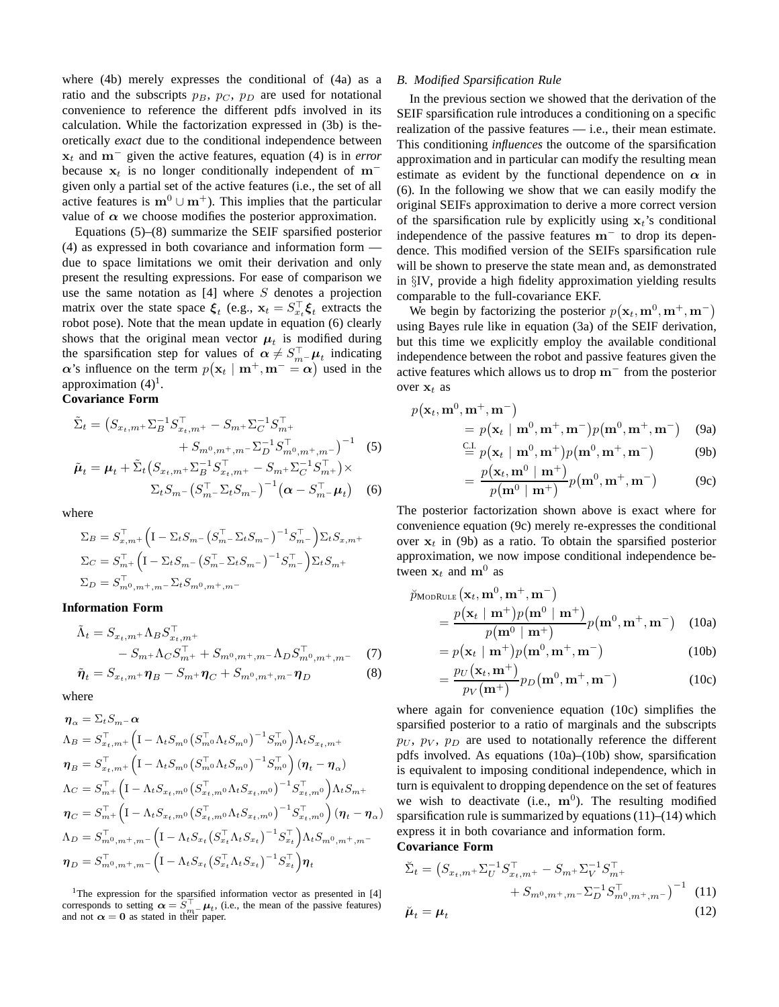where (4b) merely expresses the conditional of (4a) as a ratio and the subscripts  $p_B$ ,  $p_C$ ,  $p_D$  are used for notational convenience to reference the different pdfs involved in its calculation. While the factorization expressed in (3b) is theoretically *exact* due to the conditional independence between  $x_t$  and m<sup>−</sup> given the active features, equation (4) is in *error* because  $x_t$  is no longer conditionally independent of m<sup>−</sup> given only a partial set of the active features (i.e., the set of all active features is  $m^0 \cup m^+$ ). This implies that the particular value of  $\alpha$  we choose modifies the posterior approximation.

Equations (5)–(8) summarize the SEIF sparsified posterior (4) as expressed in both covariance and information form due to space limitations we omit their derivation and only present the resulting expressions. For ease of comparison we use the same notation as  $[4]$  where  $S$  denotes a projection matrix over the state space  $\xi_t$  (e.g.,  $\mathbf{x}_t = S_{x_t}^\top \xi_t$  extracts the robot pose). Note that the mean update in equation (6) clearly shows that the original mean vector  $\mu_t$  is modified during the sparsification step for values of  $\alpha \neq S_{m-}^{\top} \mu_t$  indicating  $\alpha$ 's influence on the term  $p(\mathbf{x}_t | \mathbf{m}^+, \mathbf{m}^- = \alpha)$  used in the approximation  $(4)^1$ .

# **Covariance Form**

$$
\tilde{\Sigma}_t = (S_{x_t,m^+} \Sigma_B^{-1} S_{x_t,m^+}^\top - S_{m^+} \Sigma_C^{-1} S_{m^+}^\top \n+ S_{m^0,m^+,m^-} \Sigma_D^{-1} S_{m^0,m^+,m^-}^\top)^{-1} \tag{5}
$$
\n
$$
\tilde{\mu}_t = \mu_t + \tilde{\Sigma}_t (S_{x_t,m^+} \Sigma_B^{-1} S_{x_t,m^+}^\top - S_{m^+} \Sigma_C^{-1} S_{m^+}^\top) \times
$$

$$
\Sigma_t S_{m-} \left( S_{m-}^{\top} \Sigma_t S_{m-} \right)^{-1} \left( \boldsymbol{\alpha} - S_{m-}^{\top} \boldsymbol{\mu}_t \right) \quad (6)
$$

where

$$
\Sigma_B = S_{x,m^+}^{\top} \Big( I - \Sigma_t S_m - (S_{m^-}^{\top} \Sigma_t S_{m^-})^{-1} S_{m^-}^{\top} \Big) \Sigma_t S_{x,m^+}
$$
  
\n
$$
\Sigma_C = S_{m^+}^{\top} \Big( I - \Sigma_t S_{m^-} (S_{m^-}^{\top} \Sigma_t S_{m^-})^{-1} S_{m^-}^{\top} \Big) \Sigma_t S_{m^+}
$$
  
\n
$$
\Sigma_D = S_{m^0,m^+,m^-}^{\top} \Sigma_t S_{m^0,m^+,m^-}
$$

#### **Information Form**

$$
\tilde{\Lambda}_{t} = S_{x_{t},m} + \Lambda_{B} S_{x_{t},m}^{\top} + \n- S_{m} + \Lambda_{C} S_{m}^{\top} + S_{m^{0},m^{+},m^{-}} \Lambda_{D} S_{m^{0},m^{+},m^{-}}^{\top} (7) \n\tilde{\eta}_{t} = S_{x_{t},m^{+}} \eta_{B} - S_{m^{+}} \eta_{C} + S_{m^{0},m^{+},m^{-}} \eta_{D}
$$

where

$$
\begin{split}\n\boldsymbol{\eta}_{\alpha} &= \Sigma_{t} S_{m} - \alpha \\
\Lambda_{B} &= S_{x_{t},m^{+}}^{\top} \Big( \text{I} - \Lambda_{t} S_{m^{0}} \big( S_{m^{0}}^{\top} \Lambda_{t} S_{m^{0}} \big)^{-1} S_{m^{0}}^{\top} \Big) \Lambda_{t} S_{x_{t},m^{+}} \\
\boldsymbol{\eta}_{B} &= S_{x_{t},m^{+}}^{\top} \Big( \text{I} - \Lambda_{t} S_{m^{0}} \big( S_{m^{0}}^{\top} \Lambda_{t} S_{m^{0}} \big)^{-1} S_{m^{0}}^{\top} \Big) \big( \boldsymbol{\eta}_{t} - \boldsymbol{\eta}_{\alpha} \big) \\
\Lambda_{C} &= S_{m^{+}}^{\top} \Big( \text{I} - \Lambda_{t} S_{x_{t},m^{0}} \big( S_{x_{t},m^{0}}^{\top} \Lambda_{t} S_{x_{t},m^{0}} \big)^{-1} S_{x_{t},m^{0}}^{\top} \Big) \Lambda_{t} S_{m^{+}} \\
\boldsymbol{\eta}_{C} &= S_{m^{+}}^{\top} \Big( \text{I} - \Lambda_{t} S_{x_{t},m^{0}} \big( S_{x_{t},m^{0}}^{\top} \Lambda_{t} S_{x_{t},m^{0}} \big)^{-1} S_{x_{t},m^{0}}^{\top} \Big) \big( \boldsymbol{\eta}_{t} - \boldsymbol{\eta}_{\alpha} \big) \\
\Lambda_{D} &= S_{m^{0},m^{+},m^{-}}^{\top} \Big( \text{I} - \Lambda_{t} S_{x_{t}} \big( S_{x_{t}}^{\top} \Lambda_{t} S_{x_{t}} \big)^{-1} S_{x_{t}}^{\top} \Big) \Lambda_{t} S_{m^{0},m^{+},m^{-}} \\
\boldsymbol{\eta}_{D} &= S_{m^{0},m^{+},m^{-}}^{\top} \Big( \text{I} - \Lambda_{t} S_{x_{t}} \big( S_{x_{t}}^{\top} \Lambda_{t} S_{x_{t}} \big)^{-1} S_{x_{t}}^{\top} \Big) \boldsymbol{\eta}_{t}\n\end{split}
$$

<sup>1</sup>The expression for the sparsified information vector as presented in [4] corresponds to setting  $\alpha = \overline{S}_{m}^{\top} - \mu_t$ , (i.e., the mean of the passive features) and not  $\alpha = 0$  as stated in their paper.

#### *B. Modified Sparsification Rule*

In the previous section we showed that the derivation of the SEIF sparsification rule introduces a conditioning on a specific realization of the passive features — i.e., their mean estimate. This conditioning *influences* the outcome of the sparsification approximation and in particular can modify the resulting mean estimate as evident by the functional dependence on  $\alpha$  in (6). In the following we show that we can easily modify the original SEIFs approximation to derive a more correct version of the sparsification rule by explicitly using  $x_t$ 's conditional independence of the passive features m<sup>−</sup> to drop its dependence. This modified version of the SEIFs sparsification rule will be shown to preserve the state mean and, as demonstrated in §IV, provide a high fidelity approximation yielding results comparable to the full-covariance EKF.

We begin by factorizing the posterior  $p(\mathbf{x}_t, \mathbf{m}^0, \mathbf{m}^+, \mathbf{m}^-)$ using Bayes rule like in equation (3a) of the SEIF derivation, but this time we explicitly employ the available conditional independence between the robot and passive features given the active features which allows us to drop m<sup>−</sup> from the posterior over  $x_t$  as

$$
p(\mathbf{x}_t, \mathbf{m}^0, \mathbf{m}^+, \mathbf{m}^-)
$$
  
=  $p(\mathbf{x}_t | \mathbf{m}^0, \mathbf{m}^+, \mathbf{m}^-) p(\mathbf{m}^0, \mathbf{m}^+, \mathbf{m}^-)$  (9a)

$$
\stackrel{\text{CL}}{=} p(\mathbf{x}_t \mid \mathbf{m}^0, \mathbf{m}^+) p(\mathbf{m}^0, \mathbf{m}^+, \mathbf{m}^-) \tag{9b}
$$

$$
= \frac{p(\mathbf{x}_t, \mathbf{m}^0 \mid \mathbf{m}^+)}{p(\mathbf{m}^0 \mid \mathbf{m}^+)} p(\mathbf{m}^0, \mathbf{m}^+, \mathbf{m}^-) \tag{9c}
$$

The posterior factorization shown above is exact where for convenience equation (9c) merely re-expresses the conditional over  $x_t$  in (9b) as a ratio. To obtain the sparsified posterior approximation, we now impose conditional independence between  $x_t$  and  $m^0$  as

$$
\tilde{p}_{\text{MoDRULE}}(\mathbf{x}_t, \mathbf{m}^0, \mathbf{m}^+, \mathbf{m}^-)
$$
\n
$$
= \frac{p(\mathbf{x}_t \mid \mathbf{m}^+) p(\mathbf{m}^0 \mid \mathbf{m}^+)}{p(\mathbf{m}^0 \mid \mathbf{m}^+)} p(\mathbf{m}^0, \mathbf{m}^+, \mathbf{m}^-) \quad (10a)
$$

$$
=p(\mathbf{x}_t \mid \mathbf{m}^+)p(\mathbf{m}^0, \mathbf{m}^+, \mathbf{m}^-) \tag{10b}
$$

$$
=\frac{p_U(\mathbf{x}_t, \mathbf{m}^+)}{p_V(\mathbf{m}^+)} p_D(\mathbf{m}^0, \mathbf{m}^+, \mathbf{m}^-)
$$
 (10c)

where again for convenience equation (10c) simplifies the sparsified posterior to a ratio of marginals and the subscripts  $p_U$ ,  $p_V$ ,  $p_D$  are used to notationally reference the different pdfs involved. As equations (10a)–(10b) show, sparsification is equivalent to imposing conditional independence, which in turn is equivalent to dropping dependence on the set of features we wish to deactivate (i.e.,  $\mathbf{m}^0$ ). The resulting modified sparsification rule is summarized by equations  $(11)$ – $(14)$  which express it in both covariance and information form.

# **Covariance Form**

$$
\tilde{\Sigma}_{t} = (S_{x_{t},m} + \Sigma_{U}^{-1} S_{x_{t},m}^{T} - S_{m} + \Sigma_{V}^{-1} S_{m}^{T} + S_{m^{0},m^{+},m^{-}} \Sigma_{D}^{-1} S_{m^{0},m^{+},m^{-}}^{T})^{-1}
$$
\n
$$
\tilde{\mu}_{t} = \mu_{t}
$$
\n(12)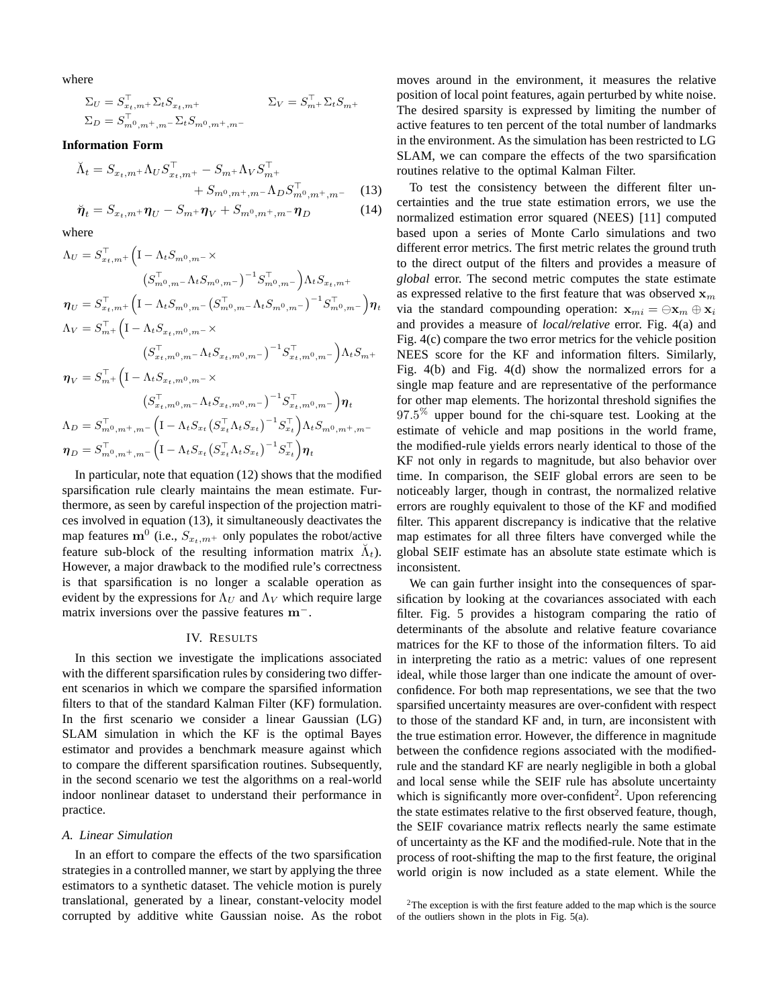where

Σ<sup>U</sup> = S > <sup>x</sup>t,m<sup>+</sup> <sup>Σ</sup>tS<sup>x</sup>t,m<sup>+</sup> <sup>Σ</sup><sup>V</sup> <sup>=</sup> <sup>S</sup> > <sup>m</sup><sup>+</sup> ΣtSm<sup>+</sup> Σ<sup>D</sup> = S > <sup>m</sup>0,m+,m<sup>−</sup> ΣtSm0,m+,m<sup>−</sup>

#### **Information Form**

$$
\tilde{\Lambda}_t = S_{x_t, m^+} \Lambda_U S_{x_t, m^+}^\top - S_{m^+} \Lambda_V S_{m^+}^\top + S_{m^0, m^+, m^-} \Lambda_D S_{m^0, m^+, m^-}^\top \quad (13)
$$
  

$$
\tilde{\boldsymbol{\eta}}_t = S_{x_t, m^+} \boldsymbol{\eta}_U - S_{m^+} \boldsymbol{\eta}_V + S_{m^0, m^+, m^-} \boldsymbol{\eta}_D \quad (14)
$$

where

$$
\Lambda_{U} = S_{x_{t},m^{+}}^{\top} \Big( I - \Lambda_{t} S_{m^{0},m^{-}} \times
$$
\n
$$
(S_{m^{0},m^{-}}^{-} \Lambda_{t} S_{m^{0},m^{-}})^{-1} S_{m^{0},m^{-}}^{-1} \Big) \Lambda_{t} S_{x_{t},m^{+}}
$$
\n
$$
\eta_{U} = S_{x_{t},m^{+}}^{\top} \Big( I - \Lambda_{t} S_{m^{0},m^{-}} (S_{m^{0},m^{-}}^{-} \Lambda_{t} S_{m^{0},m^{-}})^{-1} S_{m^{0},m^{-}}^{-1} \Big) \eta_{t}
$$
\n
$$
\Lambda_{V} = S_{m^{+}}^{\top} \Big( I - \Lambda_{t} S_{x_{t},m^{0},m^{-}} \times
$$
\n
$$
(S_{x_{t},m^{0},m^{-}}^{-} \Lambda_{t} S_{x_{t},m^{0},m^{-}})^{-1} S_{x_{t},m^{0},m^{-}}^{-1} \Big) \Lambda_{t} S_{m^{+}}
$$
\n
$$
\eta_{V} = S_{m^{+}}^{\top} \Big( I - \Lambda_{t} S_{x_{t},m^{0},m^{-}} \times
$$
\n
$$
(S_{x_{t},m^{0},m^{-}}^{-} \Lambda_{t} S_{x_{t},m^{0},m^{-}})^{-1} S_{x_{t},m^{0},m^{-}}^{-1} \Big) \eta_{t}
$$
\n
$$
\Lambda_{D} = S_{m^{0},m^{+},m^{-}}^{\top} \Big( I - \Lambda_{t} S_{x_{t}} (S_{x_{t}}^{-} \Lambda_{t} S_{x_{t}})^{-1} S_{x_{t}}^{-1} \Big) \Lambda_{t} S_{m^{0},m^{+},m^{-}}
$$
\n
$$
\eta_{D} = S_{m^{0},m^{+},m^{-}}^{\top} \Big( I - \Lambda_{t} S_{x_{t}} (S_{x_{t}}^{-} \Lambda_{t} S_{x_{t}})^{-1} S_{x_{t}}^{-1} \Big) \eta_{t}
$$

In particular, note that equation (12) shows that the modified sparsification rule clearly maintains the mean estimate. Furthermore, as seen by careful inspection of the projection matrices involved in equation (13), it simultaneously deactivates the map features  $\mathbf{m}^0$  (i.e.,  $S_{x_t,m^+}$  only populates the robot/active feature sub-block of the resulting information matrix  $\breve{\Lambda}_t$ ). However, a major drawback to the modified rule's correctness is that sparsification is no longer a scalable operation as evident by the expressions for  $\Lambda_U$  and  $\Lambda_V$  which require large matrix inversions over the passive features m<sup>−</sup>.

# IV. RESULTS

In this section we investigate the implications associated with the different sparsification rules by considering two different scenarios in which we compare the sparsified information filters to that of the standard Kalman Filter (KF) formulation. In the first scenario we consider a linear Gaussian (LG) SLAM simulation in which the KF is the optimal Bayes estimator and provides a benchmark measure against which to compare the different sparsification routines. Subsequently, in the second scenario we test the algorithms on a real-world indoor nonlinear dataset to understand their performance in practice.

#### *A. Linear Simulation*

In an effort to compare the effects of the two sparsification strategies in a controlled manner, we start by applying the three estimators to a synthetic dataset. The vehicle motion is purely translational, generated by a linear, constant-velocity model corrupted by additive white Gaussian noise. As the robot moves around in the environment, it measures the relative position of local point features, again perturbed by white noise. The desired sparsity is expressed by limiting the number of active features to ten percent of the total number of landmarks in the environment. As the simulation has been restricted to LG SLAM, we can compare the effects of the two sparsification routines relative to the optimal Kalman Filter.

To test the consistency between the different filter uncertainties and the true state estimation errors, we use the normalized estimation error squared (NEES) [11] computed based upon a series of Monte Carlo simulations and two different error metrics. The first metric relates the ground truth to the direct output of the filters and provides a measure of *global* error. The second metric computes the state estimate as expressed relative to the first feature that was observed  $x_m$ via the standard compounding operation:  $\mathbf{x}_{mi} = \bigoplus \mathbf{x}_m \oplus \mathbf{x}_i$ and provides a measure of *local/relative* error. Fig. 4(a) and Fig. 4(c) compare the two error metrics for the vehicle position NEES score for the KF and information filters. Similarly, Fig. 4(b) and Fig. 4(d) show the normalized errors for a single map feature and are representative of the performance for other map elements. The horizontal threshold signifies the  $97.5\%$  upper bound for the chi-square test. Looking at the estimate of vehicle and map positions in the world frame, the modified-rule yields errors nearly identical to those of the KF not only in regards to magnitude, but also behavior over time. In comparison, the SEIF global errors are seen to be noticeably larger, though in contrast, the normalized relative errors are roughly equivalent to those of the KF and modified filter. This apparent discrepancy is indicative that the relative map estimates for all three filters have converged while the global SEIF estimate has an absolute state estimate which is inconsistent.

We can gain further insight into the consequences of sparsification by looking at the covariances associated with each filter. Fig. 5 provides a histogram comparing the ratio of determinants of the absolute and relative feature covariance matrices for the KF to those of the information filters. To aid in interpreting the ratio as a metric: values of one represent ideal, while those larger than one indicate the amount of overconfidence. For both map representations, we see that the two sparsified uncertainty measures are over-confident with respect to those of the standard KF and, in turn, are inconsistent with the true estimation error. However, the difference in magnitude between the confidence regions associated with the modifiedrule and the standard KF are nearly negligible in both a global and local sense while the SEIF rule has absolute uncertainty which is significantly more over-confident<sup>2</sup>. Upon referencing the state estimates relative to the first observed feature, though, the SEIF covariance matrix reflects nearly the same estimate of uncertainty as the KF and the modified-rule. Note that in the process of root-shifting the map to the first feature, the original world origin is now included as a state element. While the

 $2$ The exception is with the first feature added to the map which is the source of the outliers shown in the plots in Fig. 5(a).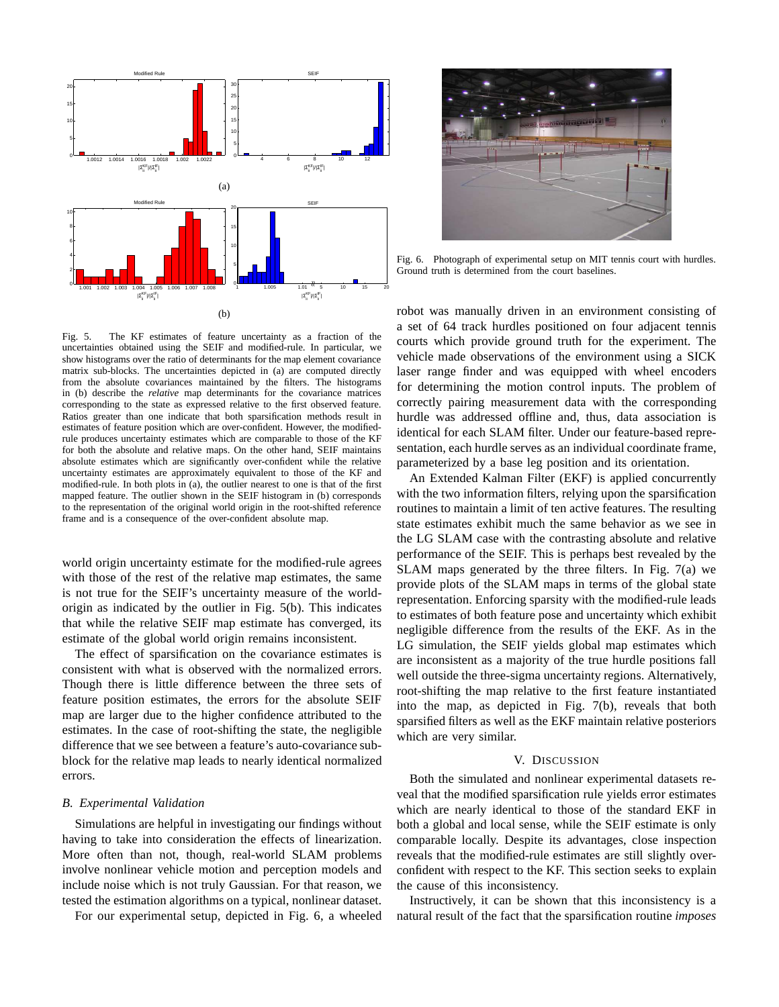

Fig. 6. Photograph of experimental setup on MIT tennis court with hurdles. Ground truth is determined from the court baselines.

Fig. 5. The KF estimates of feature uncertainty as a fraction of the uncertainties obtained using the SEIF and modified-rule. In particular, we show histograms over the ratio of determinants for the map element covariance matrix sub-blocks. The uncertainties depicted in (a) are computed directly from the absolute covariances maintained by the filters. The histograms in (b) describe the *relative* map determinants for the covariance matrices corresponding to the state as expressed relative to the first observed feature. Ratios greater than one indicate that both sparsification methods result in estimates of feature position which are over-confident. However, the modifiedrule produces uncertainty estimates which are comparable to those of the KF for both the absolute and relative maps. On the other hand, SEIF maintains absolute estimates which are significantly over-confident while the relative uncertainty estimates are approximately equivalent to those of the KF and modified-rule. In both plots in (a), the outlier nearest to one is that of the first mapped feature. The outlier shown in the SEIF histogram in (b) corresponds to the representation of the original world origin in the root-shifted reference frame and is a consequence of the over-confident absolute map.

world origin uncertainty estimate for the modified-rule agrees with those of the rest of the relative map estimates, the same is not true for the SEIF's uncertainty measure of the worldorigin as indicated by the outlier in Fig. 5(b). This indicates that while the relative SEIF map estimate has converged, its estimate of the global world origin remains inconsistent.

The effect of sparsification on the covariance estimates is consistent with what is observed with the normalized errors. Though there is little difference between the three sets of feature position estimates, the errors for the absolute SEIF map are larger due to the higher confidence attributed to the estimates. In the case of root-shifting the state, the negligible difference that we see between a feature's auto-covariance subblock for the relative map leads to nearly identical normalized errors.

## *B. Experimental Validation*

Simulations are helpful in investigating our findings without having to take into consideration the effects of linearization. More often than not, though, real-world SLAM problems involve nonlinear vehicle motion and perception models and include noise which is not truly Gaussian. For that reason, we tested the estimation algorithms on a typical, nonlinear dataset.

For our experimental setup, depicted in Fig. 6, a wheeled

robot was manually driven in an environment consisting of a set of 64 track hurdles positioned on four adjacent tennis courts which provide ground truth for the experiment. The vehicle made observations of the environment using a SICK laser range finder and was equipped with wheel encoders for determining the motion control inputs. The problem of correctly pairing measurement data with the corresponding hurdle was addressed offline and, thus, data association is identical for each SLAM filter. Under our feature-based representation, each hurdle serves as an individual coordinate frame, parameterized by a base leg position and its orientation.

An Extended Kalman Filter (EKF) is applied concurrently with the two information filters, relying upon the sparsification routines to maintain a limit of ten active features. The resulting state estimates exhibit much the same behavior as we see in the LG SLAM case with the contrasting absolute and relative performance of the SEIF. This is perhaps best revealed by the SLAM maps generated by the three filters. In Fig. 7(a) we provide plots of the SLAM maps in terms of the global state representation. Enforcing sparsity with the modified-rule leads to estimates of both feature pose and uncertainty which exhibit negligible difference from the results of the EKF. As in the LG simulation, the SEIF yields global map estimates which are inconsistent as a majority of the true hurdle positions fall well outside the three-sigma uncertainty regions. Alternatively, root-shifting the map relative to the first feature instantiated into the map, as depicted in Fig. 7(b), reveals that both sparsified filters as well as the EKF maintain relative posteriors which are very similar.

#### V. DISCUSSION

Both the simulated and nonlinear experimental datasets reveal that the modified sparsification rule yields error estimates which are nearly identical to those of the standard EKF in both a global and local sense, while the SEIF estimate is only comparable locally. Despite its advantages, close inspection reveals that the modified-rule estimates are still slightly overconfident with respect to the KF. This section seeks to explain the cause of this inconsistency.

Instructively, it can be shown that this inconsistency is a natural result of the fact that the sparsification routine *imposes*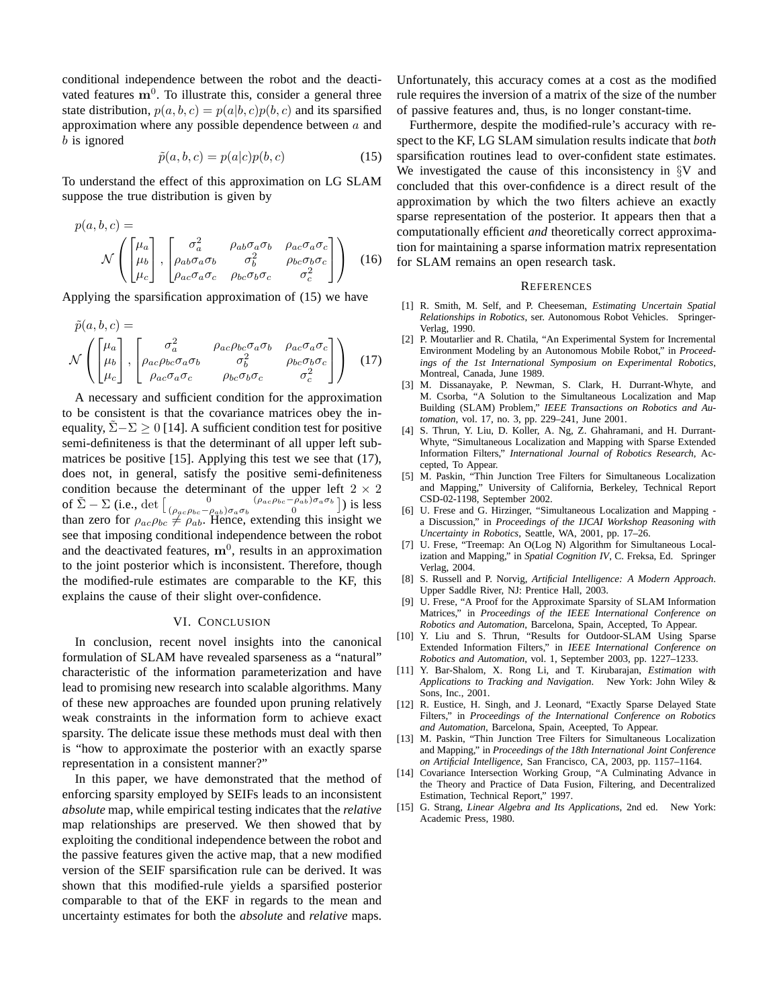conditional independence between the robot and the deactivated features  $m^0$ . To illustrate this, consider a general three state distribution,  $p(a, b, c) = p(a|b, c)p(b, c)$  and its sparsified approximation where any possible dependence between  $a$  and b is ignored

$$
\tilde{p}(a, b, c) = p(a|c)p(b, c)
$$
\n(15)

To understand the effect of this approximation on LG SLAM suppose the true distribution is given by

$$
p(a, b, c) = \mathcal{N}\left(\begin{bmatrix} \mu_a \\ \mu_b \\ \mu_c \end{bmatrix}, \begin{bmatrix} \sigma_a^2 & \rho_{ab}\sigma_a\sigma_b & \rho_{ac}\sigma_a\sigma_c \\ \rho_{ab}\sigma_a\sigma_b & \sigma_b^2 & \rho_{bc}\sigma_b\sigma_c \\ \rho_{ac}\sigma_a\sigma_c & \rho_{bc}\sigma_b\sigma_c & \sigma_c^2 \end{bmatrix}\right) (16)
$$

Applying the sparsification approximation of (15) we have

$$
\tilde{p}(a, b, c) = \mathcal{N}\left(\begin{bmatrix} \mu_a \\ \mu_b \\ \mu_c \end{bmatrix}, \begin{bmatrix} \sigma_a^2 & \rho_{ac}\rho_{bc}\sigma_a\sigma_b & \rho_{ac}\sigma_a\sigma_c \\ \rho_{ac}\rho_{bc}\sigma_a\sigma_b & \sigma_b^2 & \rho_{bc}\sigma_b\sigma_c \\ \rho_{ac}\sigma_a\sigma_c & \rho_{bc}\sigma_b\sigma_c & \sigma_c^2 \end{bmatrix}\right) (17)
$$

A necessary and sufficient condition for the approximation to be consistent is that the covariance matrices obey the inequality,  $\Sigma - \Sigma > 0$  [14]. A sufficient condition test for positive semi-definiteness is that the determinant of all upper left submatrices be positive [15]. Applying this test we see that (17), does not, in general, satisfy the positive semi-definiteness condition because the determinant of the upper left  $2 \times 2$ of  $\tilde{\Sigma} - \Sigma$  (i.e., det  $\begin{bmatrix} 0 & (\rho_{ac}\rho_{bc} - \rho_{ab})\sigma_a\sigma_b \\ (\rho_{ac}\rho_{bc} - \rho_{ab})\sigma_a\sigma_b \end{bmatrix}$  $(\rho_{ac}\rho_{bc}-\rho_{ab})\sigma_a\sigma_b$  0  $(\rho_{ac}\rho_{bc}-\rho_{ab})\sigma_a\sigma_b$  0  $\frac{1}{2}$  is less than zero for  $\rho_{ac}\rho_{bc} \neq \rho_{ab}$ . Hence, extending this insight we see that imposing conditional independence between the robot and the deactivated features,  $\mathbf{m}^0$ , results in an approximation to the joint posterior which is inconsistent. Therefore, though the modified-rule estimates are comparable to the KF, this explains the cause of their slight over-confidence.

# VI. CONCLUSION

In conclusion, recent novel insights into the canonical formulation of SLAM have revealed sparseness as a "natural" characteristic of the information parameterization and have lead to promising new research into scalable algorithms. Many of these new approaches are founded upon pruning relatively weak constraints in the information form to achieve exact sparsity. The delicate issue these methods must deal with then is "how to approximate the posterior with an exactly sparse representation in a consistent manner?"

In this paper, we have demonstrated that the method of enforcing sparsity employed by SEIFs leads to an inconsistent *absolute* map, while empirical testing indicates that the *relative* map relationships are preserved. We then showed that by exploiting the conditional independence between the robot and the passive features given the active map, that a new modified version of the SEIF sparsification rule can be derived. It was shown that this modified-rule yields a sparsified posterior comparable to that of the EKF in regards to the mean and uncertainty estimates for both the *absolute* and *relative* maps.

Unfortunately, this accuracy comes at a cost as the modified rule requires the inversion of a matrix of the size of the number of passive features and, thus, is no longer constant-time.

Furthermore, despite the modified-rule's accuracy with respect to the KF, LG SLAM simulation results indicate that *both* sparsification routines lead to over-confident state estimates. We investigated the cause of this inconsistency in  $\S$ V and concluded that this over-confidence is a direct result of the approximation by which the two filters achieve an exactly sparse representation of the posterior. It appears then that a computationally efficient *and* theoretically correct approximation for maintaining a sparse information matrix representation for SLAM remains an open research task.

#### **REFERENCES**

- [1] R. Smith, M. Self, and P. Cheeseman, *Estimating Uncertain Spatial Relationships in Robotics*, ser. Autonomous Robot Vehicles. Springer-Verlag, 1990.
- [2] P. Moutarlier and R. Chatila, "An Experimental System for Incremental Environment Modeling by an Autonomous Mobile Robot," in *Proceedings of the 1st International Symposium on Experimental Robotics*, Montreal, Canada, June 1989.
- [3] M. Dissanayake, P. Newman, S. Clark, H. Durrant-Whyte, and M. Csorba, "A Solution to the Simultaneous Localization and Map Building (SLAM) Problem," *IEEE Transactions on Robotics and Automation*, vol. 17, no. 3, pp. 229–241, June 2001.
- [4] S. Thrun, Y. Liu, D. Koller, A. Ng, Z. Ghahramani, and H. Durrant-Whyte, "Simultaneous Localization and Mapping with Sparse Extended Information Filters," *International Journal of Robotics Research*, Accepted, To Appear.
- [5] M. Paskin, "Thin Junction Tree Filters for Simultaneous Localization and Mapping," University of California, Berkeley, Technical Report CSD-02-1198, September 2002.
- [6] U. Frese and G. Hirzinger, "Simultaneous Localization and Mapping a Discussion," in *Proceedings of the IJCAI Workshop Reasoning with Uncertainty in Robotics*, Seattle, WA, 2001, pp. 17–26.
- [7] U. Frese, "Treemap: An O(Log N) Algorithm for Simultaneous Localization and Mapping," in *Spatial Cognition IV*, C. Freksa, Ed. Springer Verlag, 2004.
- [8] S. Russell and P. Norvig, *Artificial Intelligence: A Modern Approach*. Upper Saddle River, NJ: Prentice Hall, 2003.
- [9] U. Frese, "A Proof for the Approximate Sparsity of SLAM Information Matrices," in *Proceedings of the IEEE International Conference on Robotics and Automation*, Barcelona, Spain, Accepted, To Appear.
- [10] Y. Liu and S. Thrun, "Results for Outdoor-SLAM Using Sparse Extended Information Filters," in *IEEE International Conference on Robotics and Automation*, vol. 1, September 2003, pp. 1227–1233.
- [11] Y. Bar-Shalom, X. Rong Li, and T. Kirubarajan, *Estimation with Applications to Tracking and Navigation*. New York: John Wiley & Sons, Inc., 2001.
- [12] R. Eustice, H. Singh, and J. Leonard, "Exactly Sparse Delayed State Filters," in *Proceedings of the International Conference on Robotics and Automation*, Barcelona, Spain, Aceepted, To Appear.
- [13] M. Paskin, "Thin Junction Tree Filters for Simultaneous Localization and Mapping," in *Proceedings of the 18th International Joint Conference on Artificial Intelligence*, San Francisco, CA, 2003, pp. 1157–1164.
- [14] Covariance Intersection Working Group, "A Culminating Advance in the Theory and Practice of Data Fusion, Filtering, and Decentralized Estimation, Technical Report," 1997.
- [15] G. Strang, *Linear Algebra and Its Applications*, 2nd ed. New York: Academic Press, 1980.